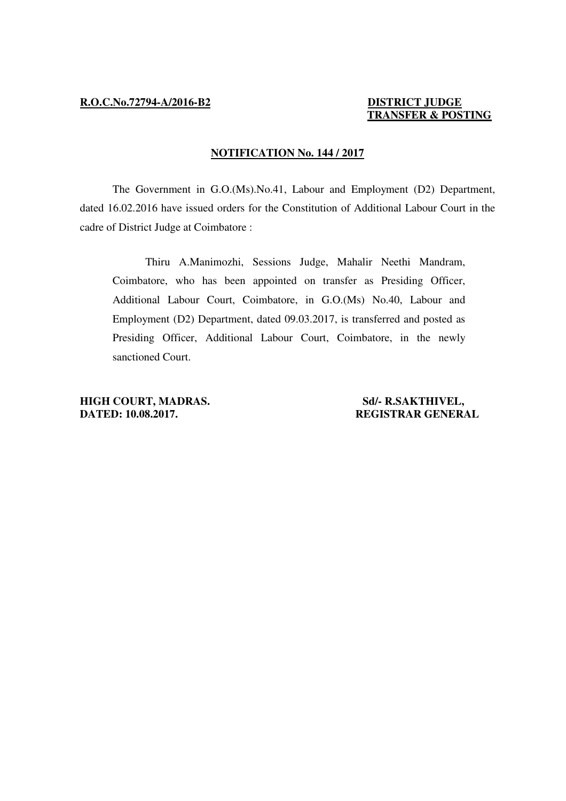## **TRANSFER & POSTING**

## **NOTIFICATION No. 144 / 2017**

 The Government in G.O.(Ms).No.41, Labour and Employment (D2) Department, dated 16.02.2016 have issued orders for the Constitution of Additional Labour Court in the cadre of District Judge at Coimbatore :

 Thiru A.Manimozhi, Sessions Judge, Mahalir Neethi Mandram, Coimbatore, who has been appointed on transfer as Presiding Officer, Additional Labour Court, Coimbatore, in G.O.(Ms) No.40, Labour and Employment (D2) Department, dated 09.03.2017, is transferred and posted as Presiding Officer, Additional Labour Court, Coimbatore, in the newly sanctioned Court.

**HIGH COURT, MADRAS.** Sd/- R.SAKTHIVEL, **DATED: 10.08.2017. REGISTRAR GENERAL**